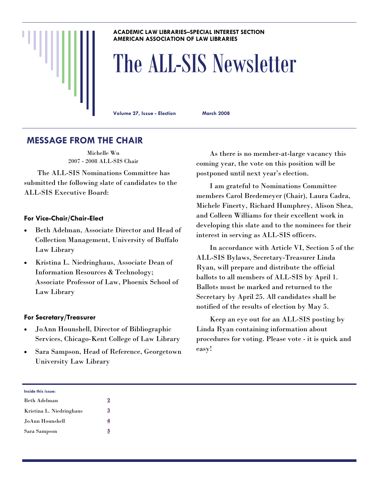#### **ACADEMIC LAW LIBRARIES–SPECIAL INTEREST SECTION AMERICAN ASSOCIATION OF LAW LIBRARIES**

# The ALL-SIS Newsletter

**Volume 27, Issue - Election March 2008** 

## **MESSAGE FROM THE CHAIR**

Michelle Wu 2007 - 2008 ALL-SIS Chair

 The ALL-SIS Nominations Committee has submitted the following slate of candidates to the ALL-SIS Executive Board:

#### **For Vice-Chair/Chair-Elect**

- Beth Adelman, Associate Director and Head of Collection Management, University of Buffalo Law Library
- Kristina L. Niedringhaus, Associate Dean of Information Resources & Technology; Associate Professor of Law, Phoenix School of Law Library

#### **For Secretary/Treasurer**

- JoAnn Hounshell, Director of Bibliographic Services, Chicago-Kent College of Law Library
- Sara Sampson, Head of Reference, Georgetown University Law Library

 As there is no member-at-large vacancy this coming year, the vote on this position will be postponed until next year's election.

 I am grateful to Nominations Committee members Carol Bredemeyer (Chair), Laura Cadra, Michele Finerty, Richard Humphrey, Alison Shea, and Colleen Williams for their excellent work in developing this slate and to the nominees for their interest in serving as ALL-SIS officers.

 In accordance with Article VI, Section 5 of the ALL-SIS Bylaws, Secretary-Treasurer Linda Ryan, will prepare and distribute the official ballots to all members of ALL-SIS by April 1. Ballots must be marked and returned to the Secretary by April 25. All candidates shall be notified of the results of election by May 5.

 Keep an eye out for an ALL-SIS posting by Linda Ryan containing information about procedures for voting. Please vote - it is quick and easy!

| Inside this issue:       |          |
|--------------------------|----------|
| Beth Adelman             | 2        |
| Kristina L. Niedringhaus | <u>3</u> |
| JoAnn Hounshell          | 4        |
| Sara Sampson             | <u>5</u> |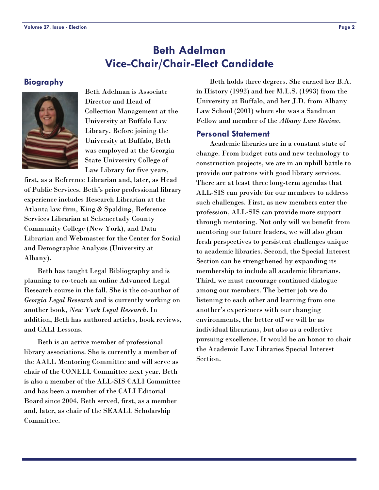## **Beth Adelman Vice-Chair/Chair-Elect Candidate**

#### <span id="page-1-0"></span>**Biography**



Beth Adelman is Associate Director and Head of Collection Management at the University at Buffalo Law Library. Before joining the University at Buffalo, Beth was employed at the Georgia State University College of Law Library for five years,

first, as a Reference Librarian and, later, as Head of Public Services. Beth's prior professional library experience includes Research Librarian at the Atlanta law firm, King & Spalding, Reference Services Librarian at Schenectady County Community College (New York), and Data Librarian and Webmaster for the Center for Social and Demographic Analysis (University at Albany).

 Beth has taught Legal Bibliography and is planning to co-teach an online Advanced Legal Research course in the fall. She is the co-author of *Georgia Legal Research* and is currently working on another book, *New York Legal Research*. In addition, Beth has authored articles, book reviews, and CALI Lessons.

 Beth is an active member of professional library associations. She is currently a member of the AALL Mentoring Committee and will serve as chair of the CONELL Committee next year. Beth is also a member of the ALL-SIS CALI Committee and has been a member of the CALI Editorial Board since 2004. Beth served, first, as a member and, later, as chair of the SEAALL Scholarship Committee.

 Beth holds three degrees. She earned her B.A. in History (1992) and her M.L.S. (1993) from the University at Buffalo, and her J.D. from Albany Law School (2001) where she was a Sandman Fellow and member of the *Albany Law Review*.

#### **Personal Statement**

 Academic libraries are in a constant state of change. From budget cuts and new technology to construction projects, we are in an uphill battle to provide our patrons with good library services. There are at least three long-term agendas that ALL-SIS can provide for our members to address such challenges. First, as new members enter the profession, ALL-SIS can provide more support through mentoring. Not only will we benefit from mentoring our future leaders, we will also glean fresh perspectives to persistent challenges unique to academic libraries. Second, the Special Interest Section can be strengthened by expanding its membership to include all academic librarians. Third, we must encourage continued dialogue among our members. The better job we do listening to each other and learning from one another's experiences with our changing environments, the better off we will be as individual librarians, but also as a collective pursuing excellence. It would be an honor to chair the Academic Law Libraries Special Interest Section.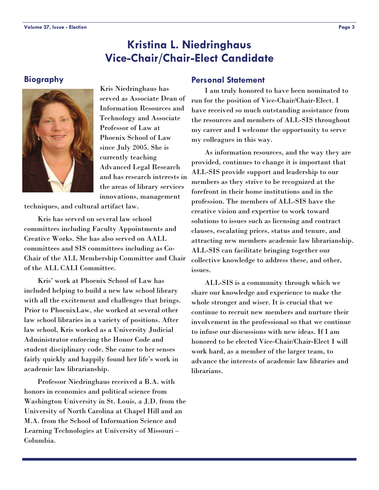## **Kristina L. Niedringhaus Vice-Chair/Chair-Elect Candidate**

#### <span id="page-2-0"></span>**Biography**



Kris Niedringhaus has served as Associate Dean of Information Resources and Technology and Associate Professor of Law at Phoenix School of Law since July 2005. She is currently teaching Advanced Legal Research and has research interests in the areas of library services innovations, management

techniques, and cultural artifact law.

 Kris has served on several law school committees including Faculty Appointments and Creative Works. She has also served on AALL committees and SIS committees including as Co-Chair of the ALL Membership Committee and Chair of the ALL CALI Committee.

 Kris' work at Phoenix School of Law has included helping to build a new law school library with all the excitement and challenges that brings. Prior to PhoenixLaw, she worked at several other law school libraries in a variety of positions. After law school, Kris worked as a University Judicial Administrator enforcing the Honor Code and student disciplinary code. She came to her senses fairly quickly and happily found her life's work in academic law librarianship.

 Professor Niedringhaus received a B.A. with honors in economics and political science from Washington University in St. Louis, a J.D. from the University of North Carolina at Chapel Hill and an M.A. from the School of Information Science and Learning Technologies at University of Missouri – Columbia.

#### **Personal Statement**

 I am truly honored to have been nominated to run for the position of Vice-Chair/Chair-Elect. I have received so much outstanding assistance from the resources and members of ALL-SIS throughout my career and I welcome the opportunity to serve my colleagues in this way.

 As information resources, and the way they are provided, continues to change it is important that ALL-SIS provide support and leadership to our members as they strive to be recognized at the forefront in their home institutions and in the profession. The members of ALL-SIS have the creative vision and expertise to work toward solutions to issues such as licensing and contract clauses, escalating prices, status and tenure, and attracting new members academic law librarianship. ALL-SIS can facilitate bringing together our collective knowledge to address these, and other, issues.

 ALL-SIS is a community through which we share our knowledge and experience to make the whole stronger and wiser. It is crucial that we continue to recruit new members and nurture their involvement in the professional so that we continue to infuse our discussions with new ideas. If I am honored to be elected Vice-Chair/Chair-Elect I will work hard, as a member of the larger team, to advance the interests of academic law libraries and librarians.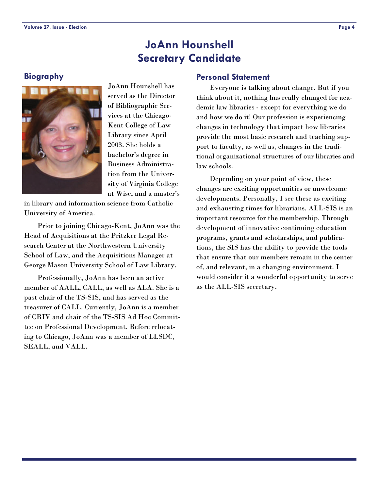## **JoAnn Hounshell Secretary Candidate**

#### <span id="page-3-0"></span>**Biography**



JoAnn Hounshell has served as the Director of Bibliographic Services at the Chicago-Kent College of Law Library since April 2003. She holds a bachelor's degree in Business Administration from the University of Virginia College at Wise, and a master's

in library and information science from Catholic University of America.

 Prior to joining Chicago-Kent, JoAnn was the Head of Acquisitions at the Pritzker Legal Research Center at the Northwestern University School of Law, and the Acquisitions Manager at George Mason University School of Law Library.

 Professionally, JoAnn has been an active member of AALL, CALL, as well as ALA. She is a past chair of the TS-SIS, and has served as the treasurer of CALL. Currently, JoAnn is a member of CRIV and chair of the TS-SIS Ad Hoc Committee on Professional Development. Before relocating to Chicago, JoAnn was a member of LLSDC, SEALL, and VALL.

#### **Personal Statement**

 Everyone is talking about change. But if you think about it, nothing has really changed for academic law libraries - except for everything we do and how we do it! Our profession is experiencing changes in technology that impact how libraries provide the most basic research and teaching support to faculty, as well as, changes in the traditional organizational structures of our libraries and law schools.

 Depending on your point of view, these changes are exciting opportunities or unwelcome developments. Personally, I see these as exciting and exhausting times for librarians. ALL-SIS is an important resource for the membership. Through development of innovative continuing education programs, grants and scholarships, and publications, the SIS has the ability to provide the tools that ensure that our members remain in the center of, and relevant, in a changing environment. I would consider it a wonderful opportunity to serve as the ALL-SIS secretary.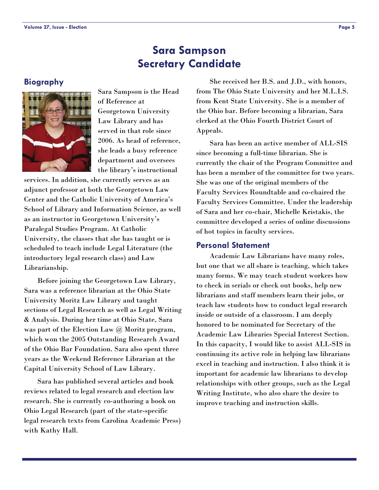## **Sara Sampson Secretary Candidate**

#### <span id="page-4-0"></span>**Biography**



Sara Sampson is the Head of Reference at Georgetown University Law Library and has served in that role since 2006. As head of reference, she leads a busy reference department and oversees the library's instructional

services. In addition, she currently serves as an adjunct professor at both the Georgetown Law Center and the Catholic University of America's School of Library and Information Science, as well as an instructor in Georgetown University's Paralegal Studies Program. At Catholic University, the classes that she has taught or is scheduled to teach include Legal Literature (the introductory legal research class) and Law Librarianship.

 Before joining the Georgetown Law Library, Sara was a reference librarian at the Ohio State University Moritz Law Library and taught sections of Legal Research as well as Legal Writing & Analysis. During her time at Ohio State, Sara was part of the Election Law @ Moritz program, which won the 2005 Outstanding Research Award of the Ohio Bar Foundation. Sara also spent three years as the Weekend Reference Librarian at the Capital University School of Law Library.

 Sara has published several articles and book reviews related to legal research and election law research. She is currently co-authoring a book on Ohio Legal Research (part of the state-specific legal research texts from Carolina Academic Press) with Kathy Hall.

 She received her B.S. and J.D., with honors, from The Ohio State University and her M.L.I.S. from Kent State University. She is a member of the Ohio bar. Before becoming a librarian, Sara clerked at the Ohio Fourth District Court of Appeals.

 Sara has been an active member of ALL-SIS since becoming a full-time librarian. She is currently the chair of the Program Committee and has been a member of the committee for two years. She was one of the original members of the Faculty Services Roundtable and co-chaired the Faculty Services Committee. Under the leadership of Sara and her co-chair, Michelle Kristakis, the committee developed a series of online discussions of hot topics in faculty services.

#### **Personal Statement**

 Academic Law Librarians have many roles, but one that we all share is teaching, which takes many forms. We may teach student workers how to check in serials or check out books, help new librarians and staff members learn their jobs, or teach law students how to conduct legal research inside or outside of a classroom. I am deeply honored to be nominated for Secretary of the Academic Law Libraries Special Interest Section. In this capacity, I would like to assist ALL-SIS in continuing its active role in helping law librarians excel in teaching and instruction. I also think it is important for academic law librarians to develop relationships with other groups, such as the Legal Writing Institute, who also share the desire to improve teaching and instruction skills.